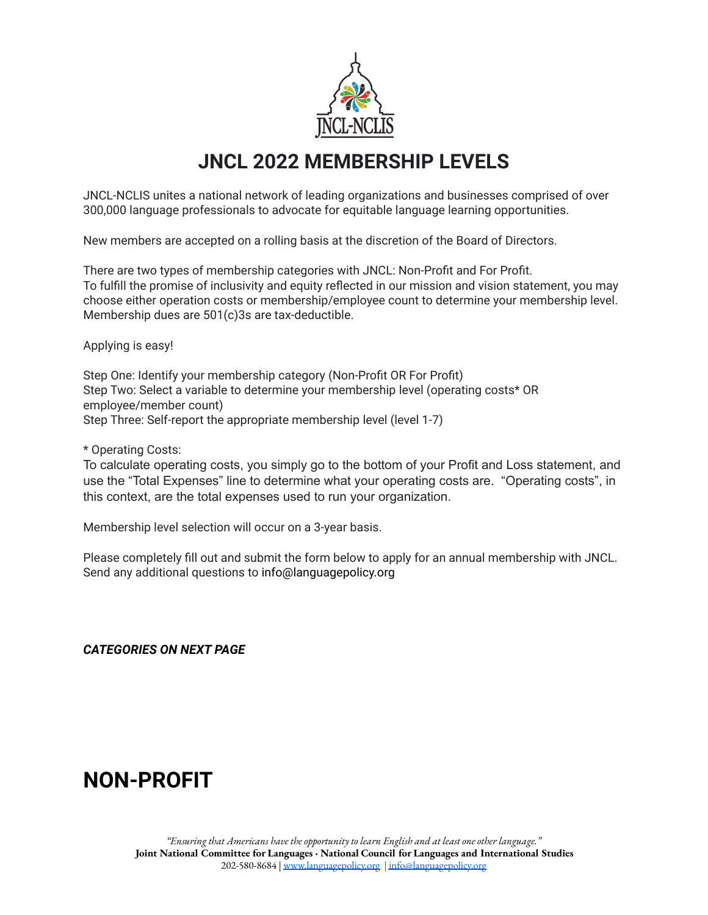

## **JNCL 2022 MEMBERSHIP LEVELS**

JNCL-NCLIS unites a national network of leading organizations and businesses comprised of over 300,000 language professionals to advocate for equitable language learning opportunities.

New members are accepted on a rolling basis at the discretion of the Board of Directors.

There are two types of membership categories with JNCL: Non-Profit and For Profit. To fulfill the promise of inclusivity and equity reflected in our mission and vision statement, you may choose either operation costs or membership/employee count to determine your membership level. Membership dues are 501(c)3s are tax-deductible.

Applying is easy!

Step One: Identify your membership category (Non-Profit OR For Profit) Step Two: Select a variable to determine your membership level (operating costs\* OR employee/member count) Step Three: Self-report the appropriate membership level (level 1-7)

\* Operating Costs:

To calculate operating costs, you simply go to the bottom of your Profit and Loss statement, and use the "Total Expenses" line to determine what your operating costs are. "Operating costs", in this context, are the total expenses used to run your organization.

Membership level selection will occur on a 3-year basis.

Please completely fill out and submit the form below to apply for an annual membership with JNCL. Send any additional questions to info@languagepolicy.org

*CATEGORIES ON NEXT PAGE*

## **NON-PROFIT**